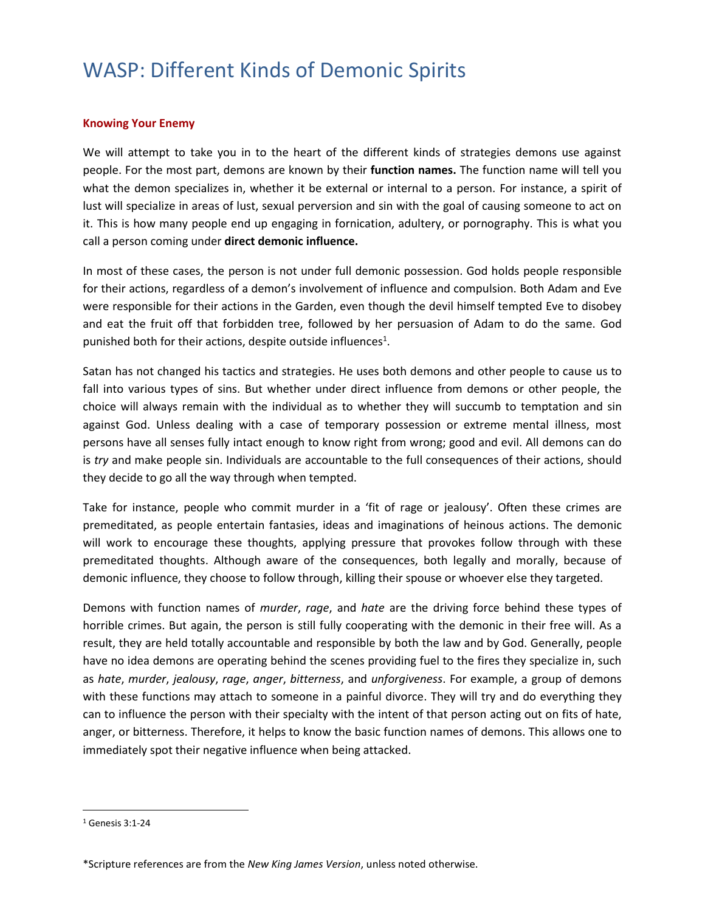#### **Knowing Your Enemy**

We will attempt to take you in to the heart of the different kinds of strategies demons use against people. For the most part, demons are known by their **function names.** The function name will tell you what the demon specializes in, whether it be external or internal to a person. For instance, a spirit of lust will specialize in areas of lust, sexual perversion and sin with the goal of causing someone to act on it. This is how many people end up engaging in fornication, adultery, or pornography. This is what you call a person coming under **direct demonic influence.**

In most of these cases, the person is not under full demonic possession. God holds people responsible for their actions, regardless of a demon's involvement of influence and compulsion. Both [Adam and Eve](http://www.bible-knowledge.com/adam-and-eve/) were responsible for their actions in the Garden, even though the devil himself tempted Eve to disobey and eat the fruit off that forbidden tree, followed by her persuasion of Adam to do the same. God punished both for their actions, despite outside influences<sup>1</sup>.

Satan has not changed his tactics and strategies. He uses both demons and other people to cause us to fall into various types of sins. But whether under direct influence from demons or other people, the choice will always remain with the individual as to whether they will succumb to temptation and sin against God. Unless dealing with a case of temporary possession or extreme mental illness, most persons have all senses fully intact enough to know right from wrong; good and evil. All demons can do is *try* and make people sin. Individuals are accountable to the full consequences of their actions, should they decide to go all the way through when tempted.

Take for instance, people who commit murder in a 'fit of rage or jealousy'. Often these crimes are premeditated, as people entertain fantasies, ideas and imaginations of heinous actions. The demonic will work to encourage these thoughts, applying pressure that provokes follow through with these premeditated thoughts. Although aware of the consequences, both legally and morally, because of demonic influence, they choose to follow through, killing their spouse or whoever else they targeted.

Demons with function names of *murder*, *rage*, and *hate* are the driving force behind these types of horrible crimes. But again, the person is still fully cooperating with the demonic in their free will. As a result, they are held totally accountable and responsible by both the law and by God. Generally, people have no idea demons are operating behind the scenes providing fuel to the fires they specialize in, such as *hate*, *murder*, *jealousy*, *rage*, *anger*, *bitterness*, and *unforgiveness*. For example, a group of demons with these functions may attach to someone in a painful divorce. They will try and do everything they can to influence the person with their specialty with the intent of that person acting out on fits of hate, anger, or bitterness. Therefore, it helps to know the basic function names of demons. This allows one to immediately spot their negative influence when being attacked.

<sup>1</sup> Genesis 3:1-24

<sup>\*</sup>Scripture references are from the *New King James Version*, unless noted otherwise.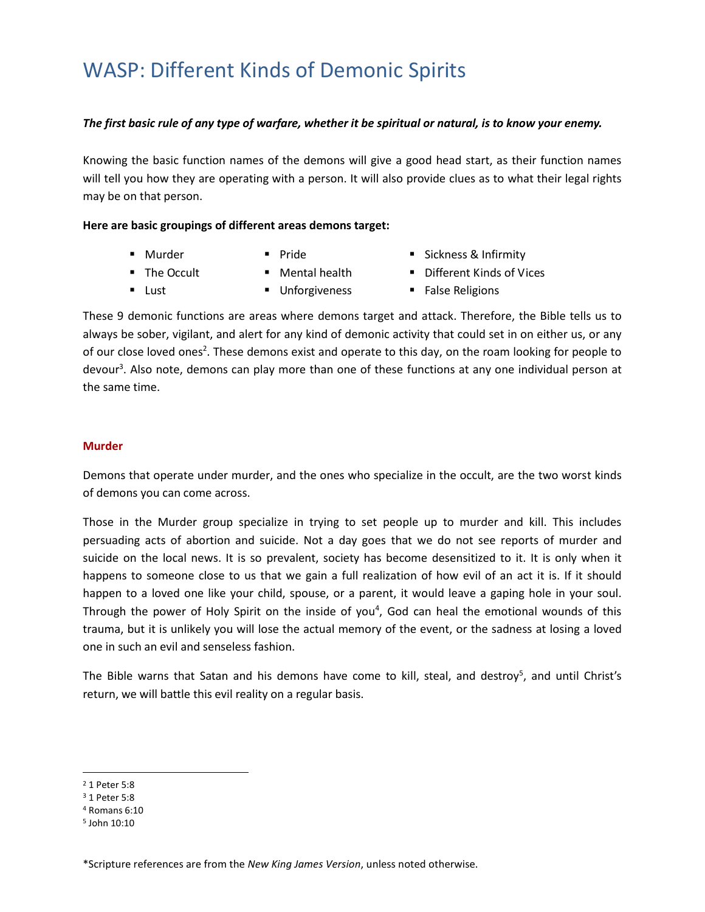### *The first basic rule of any type of warfare, whether it be spiritual or natural, is to know your enemy.*

Knowing the basic function names of the demons will give a good head start, as their function names will tell you how they are operating with a person. It will also provide clues as to what their legal rights may be on that person.

### **Here are basic groupings of different areas demons target:**

■ Murder

■ Lust

■ Pride

■ Sickness & Infirmity ■ Different Kinds of Vices

- The Occult
- Mental health

■ Unforgiveness

■ False Religions

These 9 demonic functions are areas where demons target and attack. Therefore, the Bible tells us to always be sober, vigilant, and alert for any kind of demonic activity that could set in on either us, or any of our close loved ones<sup>2</sup>. These demons exist and operate to this day, on the roam looking for people to devour<sup>3</sup>. Also note, demons can play more than one of these functions at any one individual person at the same time.

#### **Murder**

Demons that operate under murder, and the ones who specialize in the occult, are the two worst kinds of demons you can come across.

Those in the Murder group specialize in trying to set people up to murder and kill. This includes persuading acts of abortion and suicide. Not a day goes that we do not see reports of murder and suicide on the local news. It is so prevalent, society has become desensitized to it. It is only when it happens to someone close to us that we gain a full realization of how evil of an act it is. If it should happen to a loved one like your child, spouse, or a parent, it would leave a gaping hole in your soul. Through the power of Holy Spirit on the inside of you<sup>4</sup>, God can heal the emotional wounds of this trauma, but it is unlikely you will lose the actual memory of the event, or the sadness at losing a loved one in such an evil and senseless fashion.

The Bible warns that Satan and his demons have come to kill, steal, and destroy<sup>5</sup>, and until Christ's return, we will battle this evil reality on a regular basis.

 $\overline{\phantom{a}}$ 

<sup>2</sup> 1 Peter 5:8

<sup>3</sup> 1 Peter 5:8

<sup>4</sup> Romans 6:10

<sup>5</sup> John 10:10

<sup>\*</sup>Scripture references are from the *New King James Version*, unless noted otherwise.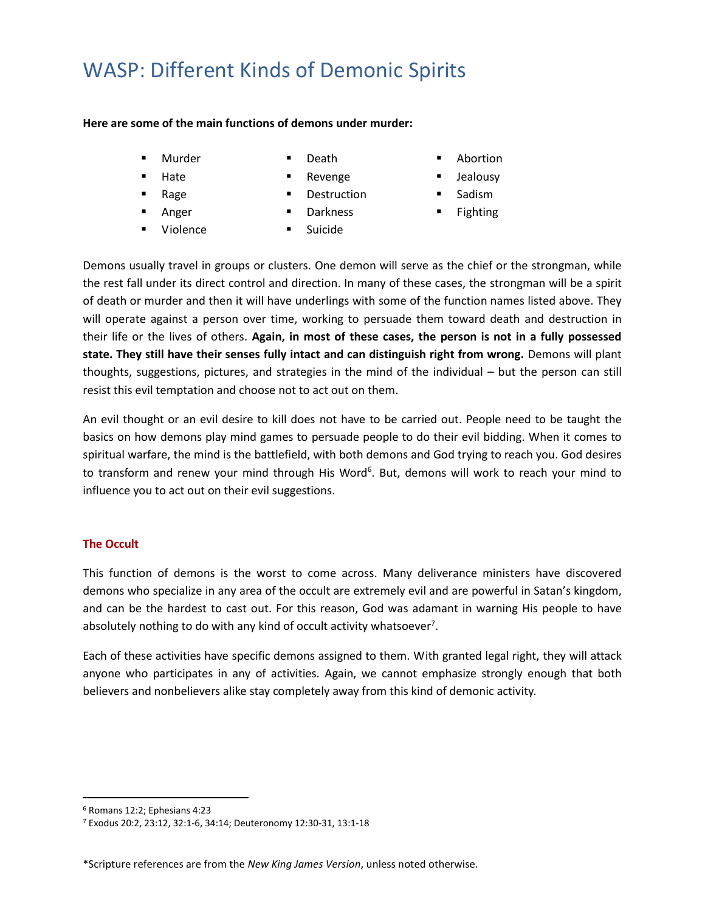#### **Here are some of the main functions of demons under murder:**

- Murder
- **Death**
- Hate
- Rage
- Anger
- Revenge **Destruction**
- 
- Darkness
- Violence
- Suicide
- Abortion
- Jealousy
- **Sadism**
- Fighting

Demons usually travel in groups or clusters. One demon will serve as the chief or the strongman, while the rest fall under its direct control and direction. In many of these cases, the strongman will be a spirit of death or murder and then it will have underlings with some of the function names listed above. They will operate against a person over time, working to persuade them toward death and destruction in their life or the lives of others. **Again, in most of these cases, the person is not in a fully possessed state. They still have their senses fully intact and can distinguish right from wrong.** Demons will plant thoughts, suggestions, pictures, and strategies in the mind of the individual – but the person can still resist this evil temptation and choose not to act out on them.

An evil thought or an evil desire to kill does not have to be carried out. People need to be taught the basics on how demons play mind games to persuade people to do their evil bidding. When it comes to spiritual warfare, the mind is the battlefield, with both demons and God trying to reach you. God desires to transform and renew your mind through His Word<sup>6</sup>. But, demons will work to reach your mind to influence you to act out on their evil suggestions.

### **The Occult**

This function of demons is the worst to come across. Many deliverance ministers have discovered demons who specialize in any area of the occult are extremely evil and are powerful in Satan's kingdom, and can be the hardest to cast out. For this reason, God was adamant in warning His people to have absolutely nothing to do with any kind of occult activity whatsoever<sup>7</sup>.

Each of these activities have specific demons assigned to them. With granted legal right, they will attack anyone who participates in any of activities. Again, we cannot emphasize strongly enough that both believers and nonbelievers alike stay completely away from this kind of demonic activity.

<sup>6</sup> Romans 12:2; Ephesians 4:23

<sup>7</sup> Exodus 20:2, 23:12, 32:1-6, 34:14; Deuteronomy 12:30-31, 13:1-18

<sup>\*</sup>Scripture references are from the *New King James Version*, unless noted otherwise.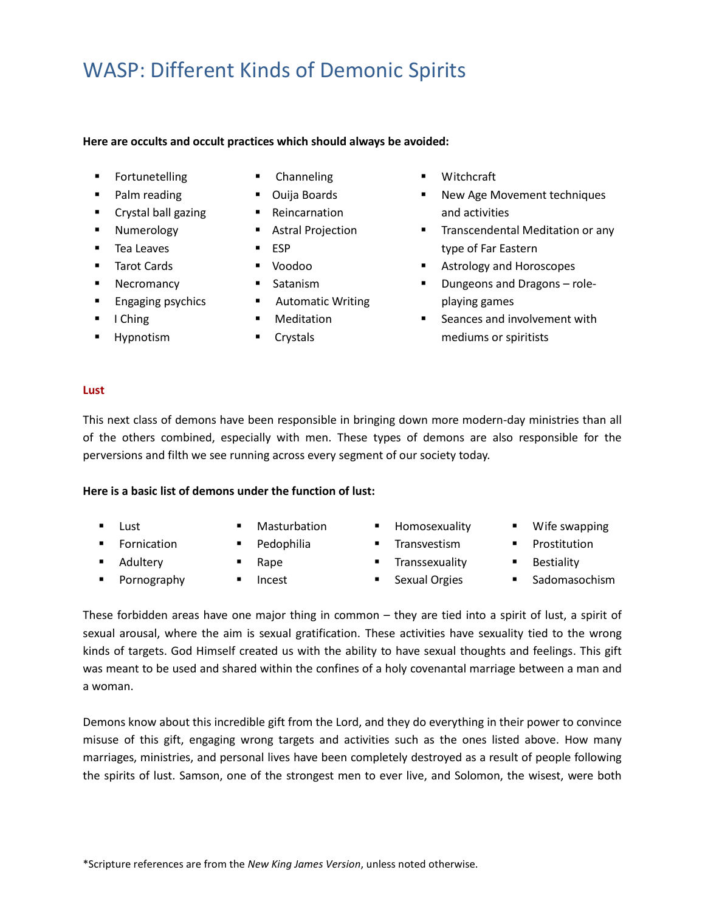#### **Here are occults and occult practices which should always be avoided:**

- **Fortunetelling**
- Palm reading
- Crystal ball gazing
- **Numerology**
- Tea Leaves
- Tarot Cards
- **Necromancy**
- **Engaging psychics**
- I Ching
- Hypnotism
- Channeling
- Ouija Boards
- Reincarnation
- Astral Projection
- ESP
- Voodoo
- Satanism
- Automatic Writing
- Meditation
- Crystals
- Witchcraft
- New Age Movement techniques and activities
- **■** Transcendental Meditation or any type of Far Eastern
- Astrology and Horoscopes
- Dungeons and Dragons roleplaying games
- Seances and involvement with mediums or spiritists

### **Lust**

This next class of demons have been responsible in bringing down more modern-day ministries than all of the others combined, especially with men. These types of demons are also responsible for the perversions and filth we see running across every segment of our society today.

### **Here is a basic list of demons under the function of lust:**

▪ Lust

■ Fornication ■ Adultery ■ Pornography ■ Masturbation ■ Pedophilia

▪ Rape ■ Incest

- **■** Homosexuality
- **■** Transvestism
- **■** Transsexuality
- Sexual Orgies
- Wife swapping
- **■** Prostitution
- Bestiality
- Sadomasochism

These forbidden areas have one major thing in common – they are tied into a spirit of lust, a spirit of sexual arousal, where the aim is sexual gratification. These activities have sexuality tied to the wrong kinds of targets. God Himself created us with the ability to have sexual thoughts and feelings. This gift was meant to be used and shared within the confines of a holy covenantal marriage between a man and a woman.

Demons know about this incredible gift from the Lord, and they do everything in their power to convince misuse of this gift, engaging wrong targets and activities such as the ones listed above. How many marriages, ministries, and personal lives have been completely destroyed as a result of people following the spirits of lust. Samson, one of the strongest men to ever live, and Solomon, the wisest, were both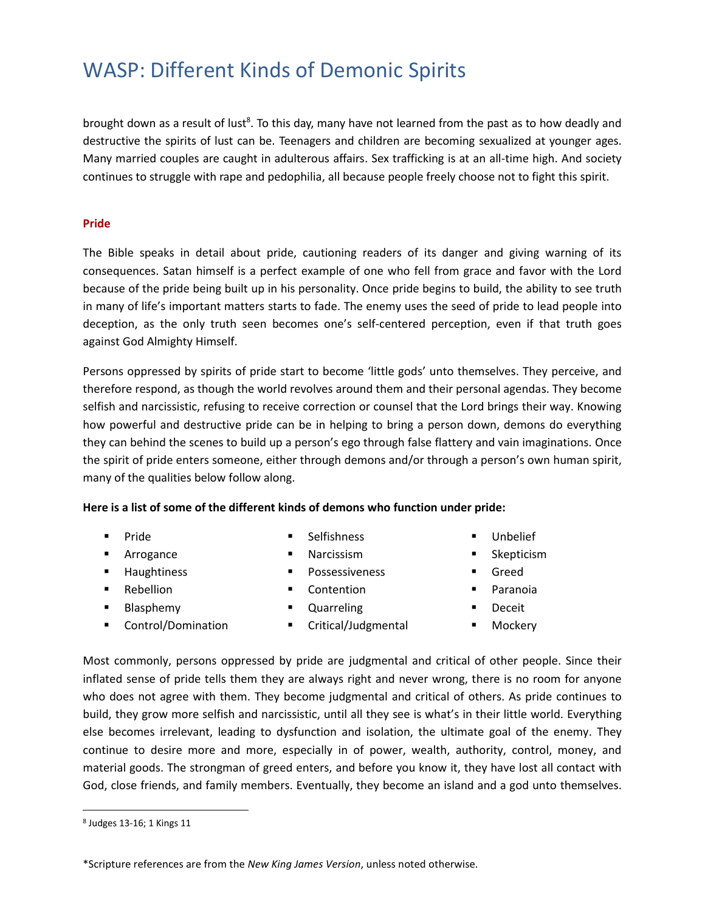brought down as a result of lust<sup>8</sup>. To this day, many have not learned from the past as to how deadly and destructive the spirits of lust can be. Teenagers and children are becoming sexualized at younger ages. Many married couples are caught in adulterous affairs. Sex trafficking is at an all-time high. And society continues to struggle with rape and pedophilia, all because people freely choose not to fight this spirit.

#### **Pride**

The Bible speaks in detail about pride, cautioning readers of its danger and giving warning of its consequences. Satan himself is a perfect example of one who fell from grace and favor with the Lord because of the pride being built up in his personality. Once pride begins to build, the ability to see truth in many of life's important matters starts to fade. The enemy uses the seed of pride to lead people into deception, as the only truth seen becomes one's self-centered perception, even if that truth goes against God Almighty Himself.

Persons oppressed by spirits of pride start to become 'little gods' unto themselves. They perceive, and therefore respond, as though the world revolves around them and their personal agendas. They become selfish and narcissistic, refusing to receive correction or counsel that the Lord brings their way. Knowing how powerful and destructive pride can be in helping to bring a person down, demons do everything they can behind the scenes to build up a person's ego through false flattery and vain imaginations. Once the spirit of pride enters someone, either through demons and/or through a person's own human spirit, many of the qualities below follow along.

### **Here is a list of some of the different kinds of demons who function under pride:**

- Pride
- Arrogance
- Haughtiness
- Rebellion
- Blasphemy
- Control/Domination
- Selfishness
- **Narcissism**
- Possessiveness
- Contention
- Quarreling
- Critical/Judgmental
- Unbelief
- Skepticism
- Greed
- Paranoia
- **Deceit**
- Mockery

Most commonly, persons oppressed by pride are judgmental and critical of other people. Since their inflated sense of pride tells them they are always right and never wrong, there is no room for anyone who does not agree with them. They become judgmental and critical of others. As pride continues to build, they grow more selfish and narcissistic, until all they see is what's in their little world. Everything else becomes irrelevant, leading to dysfunction and isolation, the ultimate goal of the enemy. They continue to desire more and more, especially in of power, wealth, authority, control, money, and material goods. The strongman of greed enters, and before you know it, they have lost all contact with God, close friends, and family members. Eventually, they become an island and a god unto themselves.

<sup>8</sup> Judges 13-16; 1 Kings 11

<sup>\*</sup>Scripture references are from the *New King James Version*, unless noted otherwise.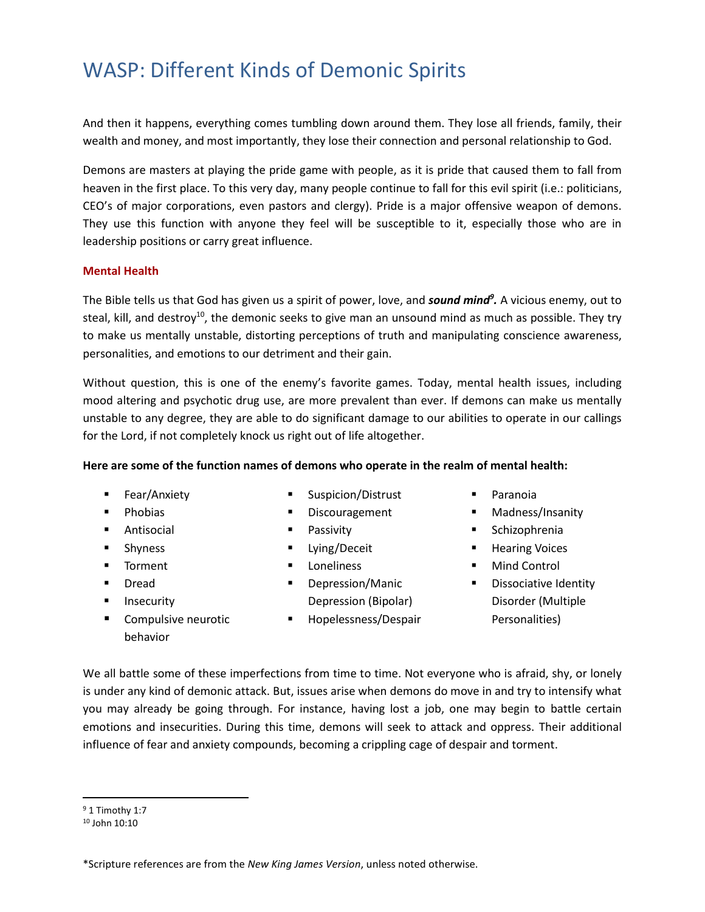And then it happens, everything comes tumbling down around them. They lose all friends, family, their wealth and money, and most importantly, they lose their connection and personal relationship to God.

Demons are masters at playing the pride game with people, as it is pride that caused them to fall from heaven in the first place. To this very day, many people continue to fall for this evil spirit (i.e.: politicians, CEO's of major corporations, even pastors and clergy). Pride is a major offensive weapon of demons. They use this function with anyone they feel will be susceptible to it, especially those who are in leadership positions or carry great influence.

### **Mental Health**

The Bible tells us that God has given us a spirit of power, love, and *sound mind<sup>9</sup> .* A vicious enemy, out to steal, kill, and destroy<sup>10</sup>, the demonic seeks to give man an unsound mind as much as possible. They try to make us mentally unstable, distorting perceptions of truth and manipulating conscience awareness, personalities, and emotions to our detriment and their gain.

Without question, this is one of the enemy's favorite games. Today, mental health issues, including mood altering and psychotic drug use, are more prevalent than ever. If demons can make us mentally unstable to any degree, they are able to do significant damage to our abilities to operate in our callings for the Lord, if not completely knock us right out of life altogether.

### **Here are some of the function names of demons who operate in the realm of mental health:**

- Fear/Anxiety
- Phobias
- Antisocial
- Shyness
- Torment
- Dread
- Insecurity
- Compulsive neurotic behavior
- Suspicion/Distrust
- Discouragement
- Passivity
- Lying/Deceit
- **Loneliness**
- Depression/Manic Depression (Bipolar)
- Hopelessness/Despair
- Paranoia
- Madness/Insanity
- Schizophrenia
- Hearing Voices
- Mind Control
- Dissociative Identity Disorder (Multiple Personalities)

We all battle some of these imperfections from time to time. Not everyone who is afraid, shy, or lonely is under any kind of demonic attack. But, issues arise when demons do move in and try to intensify what you may already be going through. For instance, having lost a job, one may begin to battle certain emotions and insecurities. During this time, demons will seek to attack and oppress. Their additional influence of fear and anxiety compounds, becoming a crippling cage of despair and torment.

<sup>9</sup> 1 Timothy 1:7

<sup>10</sup> John 10:10

<sup>\*</sup>Scripture references are from the *New King James Version*, unless noted otherwise.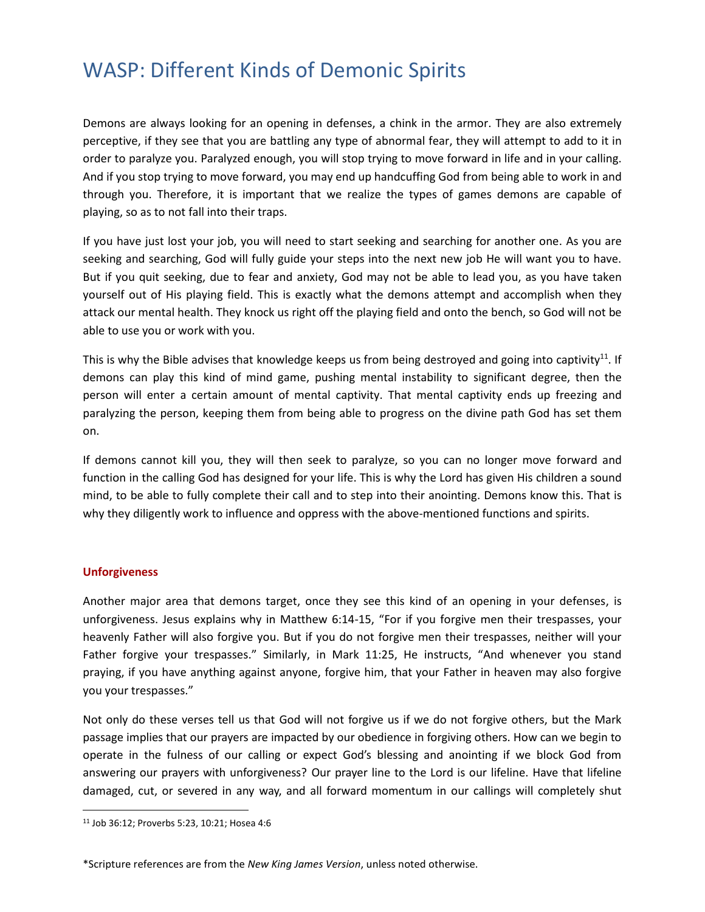Demons are always looking for an opening in defenses, a chink in the armor. They are also extremely perceptive, if they see that you are battling any type of abnormal fear, they will attempt to add to it in order to paralyze you. Paralyzed enough, you will stop trying to move forward in life and in your calling. And if you stop trying to move forward, you may end up handcuffing God from being able to work in and through you. Therefore, it is important that we realize the types of games demons are capable of playing, so as to not fall into their traps.

If you have just lost your job, you will need to start seeking and searching for another one. As you are seeking and searching, God will fully guide your steps into the next new job He will want you to have. But if you quit seeking, due to fear and anxiety, God may not be able to lead you, as you have taken yourself out of His playing field. This is exactly what the demons attempt and accomplish when they attack our mental health. They knock us right off the playing field and onto the bench, so God will not be able to use you or work with you.

This is why the Bible advises that knowledge keeps us from being destroyed and going into captivity<sup>11</sup>. If demons can play this kind of mind game, pushing mental instability to significant degree, then the person will enter a certain amount of mental captivity. That mental captivity ends up freezing and paralyzing the person, keeping them from being able to progress on the divine path God has set them on.

If demons cannot kill you, they will then seek to paralyze, so you can no longer move forward and function in the calling God has designed for your life. This is why the Lord has given His children a sound mind, to be able to fully complete their call and to step into their anointing. Demons know this. That is why they diligently work to influence and oppress with the above-mentioned functions and spirits.

### **Unforgiveness**

 $\overline{a}$ 

Another major area that demons target, once they see this kind of an opening in your defenses, is unforgiveness. Jesus explains why in Matthew 6:14-15, "For if you forgive men their trespasses, your heavenly Father will also forgive you. But if you do not forgive men their trespasses, neither will your Father forgive your trespasses." Similarly, in Mark 11:25, He instructs, "And whenever you stand praying, if you have anything against anyone, forgive him, that your Father in heaven may also forgive you your trespasses."

Not only do these verses tell us that God will not forgive us if we do not forgive others, but the Mark passage implies that our prayers are impacted by our obedience in forgiving others. How can we begin to operate in the fulness of our calling or expect God's blessing and anointing if we block God from answering our prayers with unforgiveness? Our prayer line to the Lord is our lifeline. Have that lifeline damaged, cut, or severed in any way, and all forward momentum in our callings will completely shut

<sup>11</sup> Job 36:12; Proverbs 5:23, 10:21; Hosea 4:6

<sup>\*</sup>Scripture references are from the *New King James Version*, unless noted otherwise.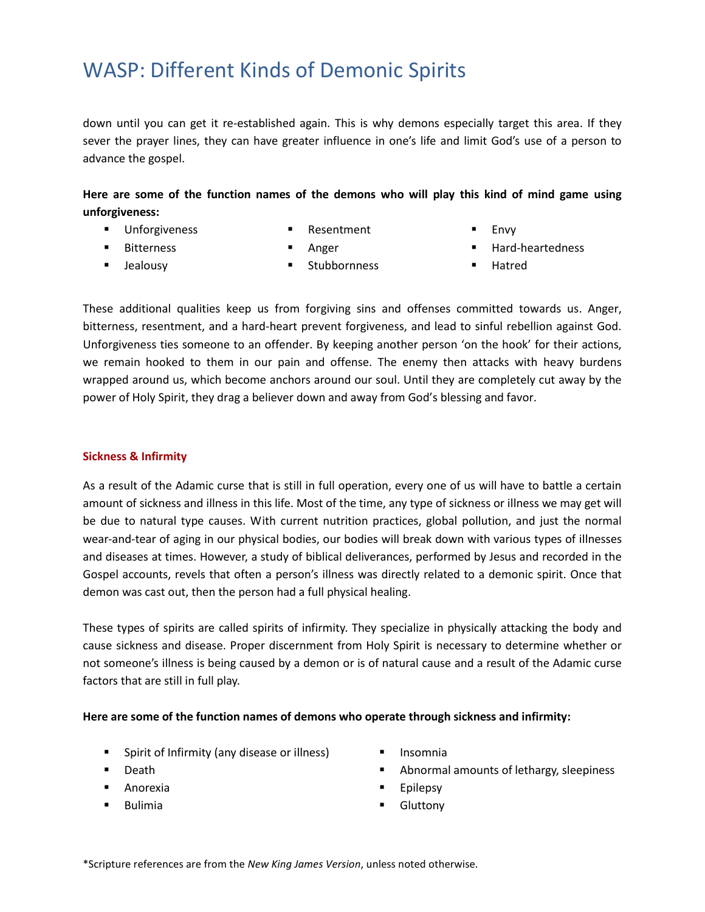down until you can get it re-established again. This is why demons especially target this area. If they sever the prayer lines, they can have greater influence in one's life and limit God's use of a person to advance the gospel.

**Here are some of the function names of the demons who will play this kind of mind game using unforgiveness:**

- Unforgiveness
- Resentment
- 

■ Bitterness

**Envy** 

- 
- Jealousy
- Anger **Stubbornness**
- Hard-heartedness ▪ Hatred

These additional qualities keep us from forgiving sins and offenses committed towards us. Anger, bitterness, resentment, and a hard-heart prevent forgiveness, and lead to sinful rebellion against God. Unforgiveness ties someone to an offender. By keeping another person 'on the hook' for their actions, we remain hooked to them in our pain and offense. The enemy then attacks with heavy burdens wrapped around us, which become anchors around our soul. Until they are completely cut away by the power of Holy Spirit, they drag a believer down and away from God's blessing and favor.

### **Sickness & Infirmity**

As a result of the Adamic curse that is still in full operation, every one of us will have to battle a certain amount of sickness and illness in this life. Most of the time, any type of sickness or illness we may get will be due to natural type causes. With current nutrition practices, global pollution, and just the normal wear-and-tear of aging in our physical bodies, our bodies will break down with various types of illnesses and diseases at times. However, a study of biblical deliverances, performed by Jesus and recorded in the Gospel accounts, revels that often a person's illness was directly related to a demonic spirit. Once that demon was cast out, then the person had a full physical [healing.](http://www.bible-knowledge.com/healing-verses-of-the-bible/)

These types of spirits are called spirits of infirmity. They specialize in physically attacking the body and cause sickness and disease. Proper discernment from Holy Spirit is necessary to determine whether or not someone's illness is being caused by a demon or is of natural cause and a result of the Adamic curse factors that are still in full play.

### **Here are some of the function names of demons who operate through sickness and infirmity:**

- Spirit of Infirmity (any disease or illness)
- Death
- Anorexia
- **Bulimia**
- **Insomnia**
- Abnormal amounts of lethargy, sleepiness
- **Epilepsy**
- **Gluttony**

\*Scripture references are from the *New King James Version*, unless noted otherwise.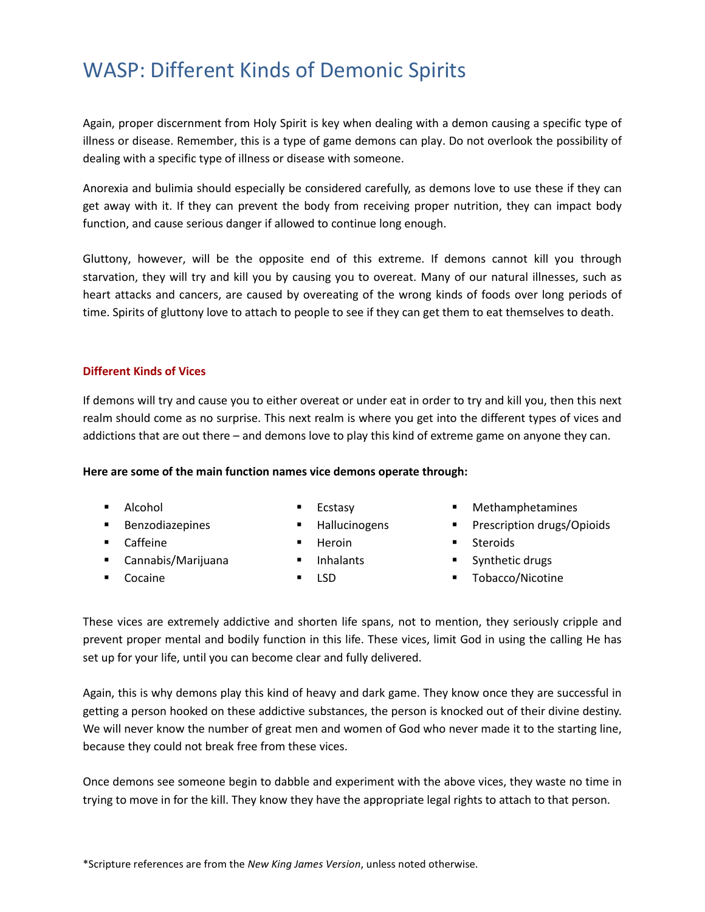Again, proper discernment from Holy Spirit is key when dealing with a demon causing a specific type of illness or disease. Remember, this is a type of game demons can play. Do not overlook the possibility of dealing with a specific type of illness or disease with someone.

Anorexia and bulimia should especially be considered carefully, as demons love to use these if they can get away with it. If they can prevent the body from receiving proper nutrition, they can impact body function, and cause serious danger if allowed to continue long enough.

Gluttony, however, will be the opposite end of this extreme. If demons cannot kill you through starvation, they will try and kill you by causing you to overeat. Many of our natural illnesses, such as heart attacks and cancers, are caused by overeating of the wrong kinds of foods over long periods of time. Spirits of gluttony love to attach to people to see if they can get them to eat themselves to death.

### **Different Kinds of Vices**

If demons will try and cause you to either overeat or under eat in order to try and kill you, then this next realm should come as no surprise. This next realm is where you get into the different types of vices and addictions that are out there – and demons love to play this kind of extreme game on anyone they can.

#### **Here are some of the main function names vice demons operate through:**

- Alcohol
- Benzodiazepines
- Caffeine
- Cannabis/Marijuana
- Cocaine
- Ecstasy
- Hallucinogens
- Heroin
- Inhalants
- LSD
- Methamphetamines
- Prescription drugs/Opioids
- Steroids
- Synthetic drugs
- Tobacco/Nicotine

These vices are extremely addictive and shorten life spans, not to mention, they seriously cripple and prevent proper mental and bodily function in this life. These vices, limit God in using the calling He has set up for your life, until you can become clear and fully delivered.

Again, this is why demons play this kind of heavy and dark game. They know once they are successful in getting a person hooked on these addictive substances, the person is knocked out of their divine destiny. We will never know the number of great men and women of God who never made it to the starting line, because they could not break free from these vices.

Once demons see someone begin to dabble and experiment with the above vices, they waste no time in trying to move in for the kill. They know they have the appropriate legal rights to attach to that person.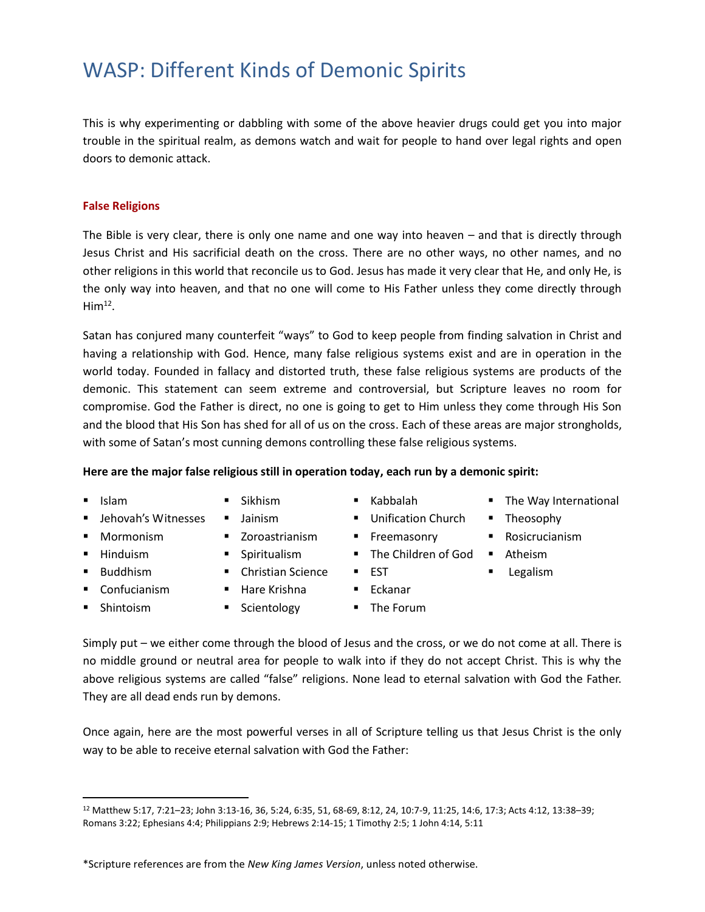This is why experimenting or dabbling with some of the above heavier drugs could get you into major trouble in the spiritual realm, as demons watch and wait for people to hand over legal rights and open doors to demonic attack.

### **False Religions**

The Bible is very clear, there is only one name and one way into heaven – and that is directly through Jesus Christ and His sacrificial death on the cross. There are no other ways, no other names, and no other religions in this world that reconcile us to God. Jesus has made it very clear that He, and only He, is the only way into heaven, and that no one will come to His Father unless they come directly through  $Him<sup>12</sup>$ .

Satan has conjured many counterfeit "ways" to God to keep people from finding salvation in Christ and having a relationship with God. Hence, many false religious systems exist and are in operation in the world today. Founded in fallacy and distorted truth, these false religious systems are products of the demonic. This statement can seem extreme and controversial, but Scripture leaves no room for compromise. God the Father is direct, no one is going to get to Him unless they come through His Son and the blood that His Son has shed for all of us on the cross. Each of these areas are major strongholds, with some of Satan's most cunning demons controlling these false religious systems.

### **Here are the major false religious still in operation today, each run by a demonic spirit:**

- Islam
- Jehovah's Witnesses
- Mormonism
- Hinduism
- Buddhism

■ Shintoism

 $\overline{a}$ 

- Confucianism
- Jainism
- Zoroastrianism
- Spiritualism

■ Sikhism

- Christian Science
- Hare Krishna
- Scientology
- Kabbalah
- Unification Church
- **Exercise Freemasonry**
- 
- EST
- Eckanar
- The Forum
- Simply put we either come through the blood of Jesus and the cross, or we do not come at all. There is no middle ground or neutral area for people to walk into if they do not accept Christ. This is why the above religious systems are called "false" religions. None lead to eternal salvation with God the Father. They are all dead ends run by demons.

Once again, here are the most powerful verses in all of Scripture telling us that Jesus Christ is the only way to be able to receive eternal salvation with God the Father:

- The Way International
- Theosophy
- Rosicrucianism
- The Children of God Atheism
	- Legalism
	-
	-

<sup>12</sup> [Matthew 5:17,](https://biblia.com/bible/esv/Matt%205.17) [7:21](https://biblia.com/bible/esv/Matt%207.21%E2%80%9327)–23[; John 3:13-](https://biblia.com/bible/esv/John%203.13)16, 36, 5:24, 6:35, 51, 68-69, 8:12, 24, 10:7-9, 11:25, 14:6, 17:3; [Acts 4:12,](https://biblia.com/bible/esv/Acts%204.12) [13:38](https://biblia.com/bible/esv/Acts%2013.38%E2%80%9339)–39; Romans 3:22; Ephesians 4:4[; Philippians 2:9;](https://biblia.com/bible/esv/Phil%202.9) [Hebrews 2:14-15;](https://biblia.com/bible/esv/Heb%204.15) [1 Timothy 2:5;](https://biblia.com/bible/esv/1%20Tim%202.5) 1 John 4:14, 5:11

<sup>\*</sup>Scripture references are from the *New King James Version*, unless noted otherwise.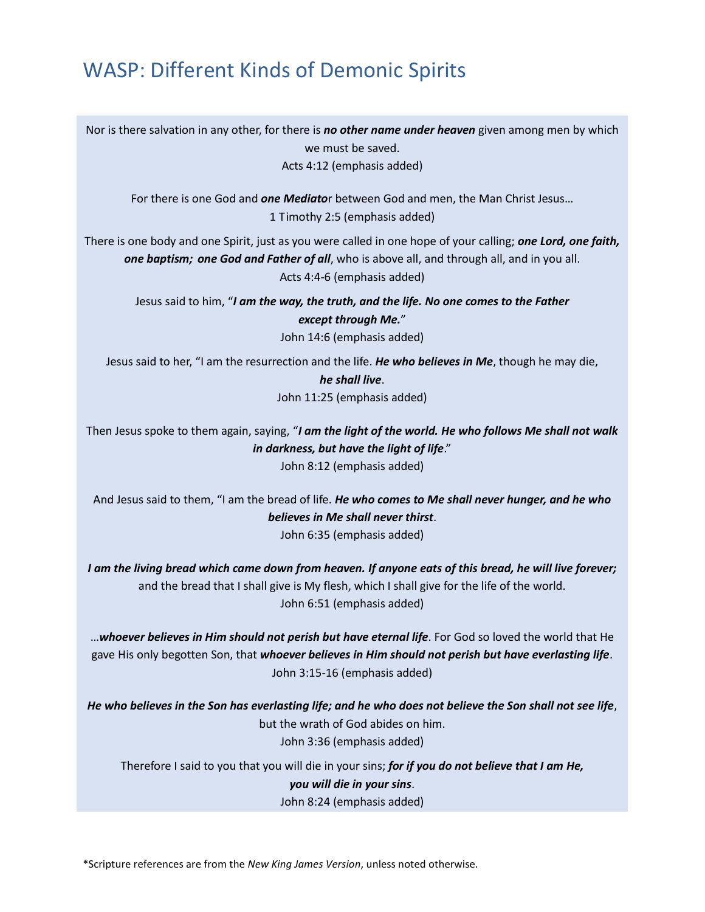Nor is there salvation in any other, for there is *no other name under heaven* given among men by which we must be saved. Acts 4:12 (emphasis added)

For there is one God and *one Mediato*r between God and men, the Man Christ Jesus…

1 Timothy 2:5 (emphasis added)

There is one body and one Spirit, just as you were called in one hope of your calling; *one Lord, one faith, one baptism; one God and Father of all*, who is above all, and through all, and in you all. Acts 4:4-6 (emphasis added)

Jesus said to him, "*I am the way, the truth, and the life. No one comes to the Father except through Me.*" John 14:6 (emphasis added)

Jesus said to her, "I am the resurrection and the life. *He who believes in Me*, though he may die, *he shall live*. John 11:25 (emphasis added)

Then Jesus spoke to them again, saying, "*I am the light of the world. He who follows Me shall not walk in darkness, but have the light of life*." John 8:12 (emphasis added)

And Jesus said to them, "I am the bread of life. *He who comes to Me shall never hunger, and he who believes in Me shall never thirst*. John 6:35 (emphasis added)

*I am the living bread which came down from heaven. If anyone eats of this bread, he will live forever;* and the bread that I shall give is My flesh, which I shall give for the life of the world. John 6:51 (emphasis added)

…*whoever believes in Him should not perish but have eternal life*. For God so loved the world that He gave His only begotten Son, that *whoever believes in Him should not perish but have everlasting life*. John 3:15-16 (emphasis added)

*He who believes in the Son has everlasting life; and he who does not believe the Son shall not see life*, but the wrath of God abides on him. John 3:36 (emphasis added)

Therefore I said to you that you will die in your sins; *for if you do not believe that I am He, you will die in your sins*. John 8:24 (emphasis added)

\*Scripture references are from the *New King James Version*, unless noted otherwise.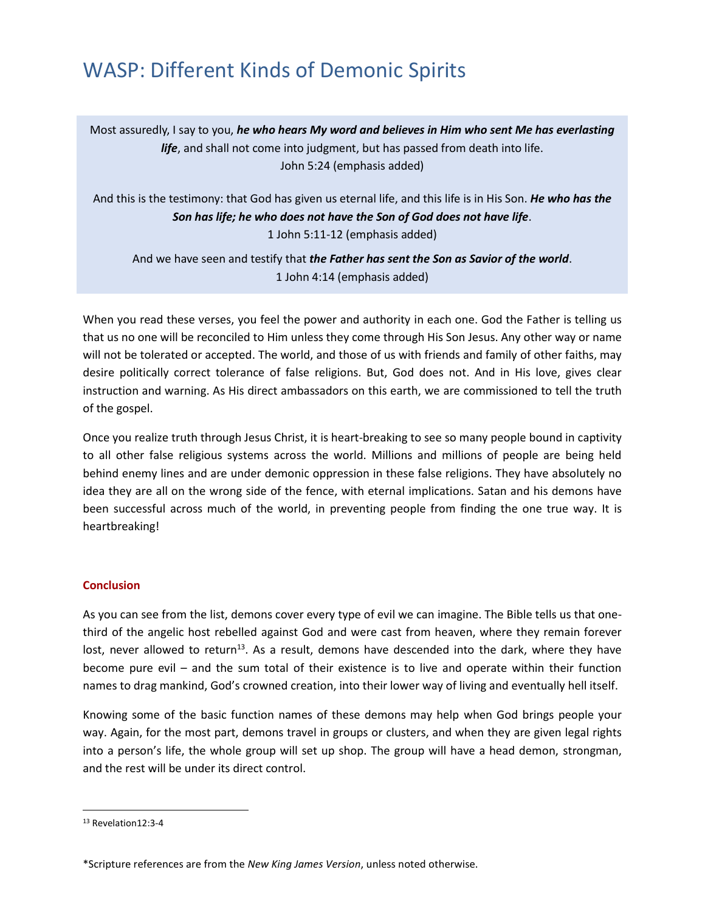Most assuredly, I say to you, *he who hears My word and believes in Him who sent Me has everlasting life*, and shall not come into judgment, but has passed from death into life. John 5:24 (emphasis added)

And this is the testimony: that God has given us eternal life, and this life is in His Son. *He who has the Son has life; he who does not have the Son of God does not have life*. 1 John 5:11-12 (emphasis added)

And we have seen and testify that *the Father has sent the Son as Savior of the world*. 1 John 4:14 (emphasis added)

When you read these verses, you feel the power and authority in each one. God the Father is telling us that us no one will be reconciled to Him unless they come through His Son Jesus. Any other way or name will not be tolerated or accepted. The world, and those of us with friends and family of other faiths, may desire politically correct tolerance of false religions. But, God does not. And in His love, gives clear instruction and warning. As His direct ambassadors on this earth, we are commissioned to tell the truth of the gospel.

Once you realize truth through Jesus Christ, it is heart-breaking to see so many people bound in captivity to all other false religious systems across the world. Millions and millions of people are being held behind enemy lines and are under demonic oppression in these false religions. They have absolutely no idea they are all on the wrong side of the fence, with eternal implications. Satan and his demons have been successful across much of the world, in preventing people from finding the one true way. It is heartbreaking!

#### **Conclusion**

As you can see from the list, demons cover every type of evil we can imagine. The Bible tells us that onethird of the angelic host rebelled against God and were cast from heaven, where they remain forever lost, never allowed to return<sup>13</sup>. As a result, demons have descended into the dark, where they have become pure evil – and the sum total of their existence is to live and operate within their function names to drag mankind, God's crowned creation, into their lower way of living and eventually hell itself.

Knowing some of the basic function names of these demons may help when God brings people your way. Again, for the most part, demons travel in groups or clusters, and when they are given legal rights into a person's life, the whole group will set up shop. The group will have a head demon, strongman, and the rest will be under its direct control.

<sup>13</sup> Revelation12:3-4

<sup>\*</sup>Scripture references are from the *New King James Version*, unless noted otherwise.